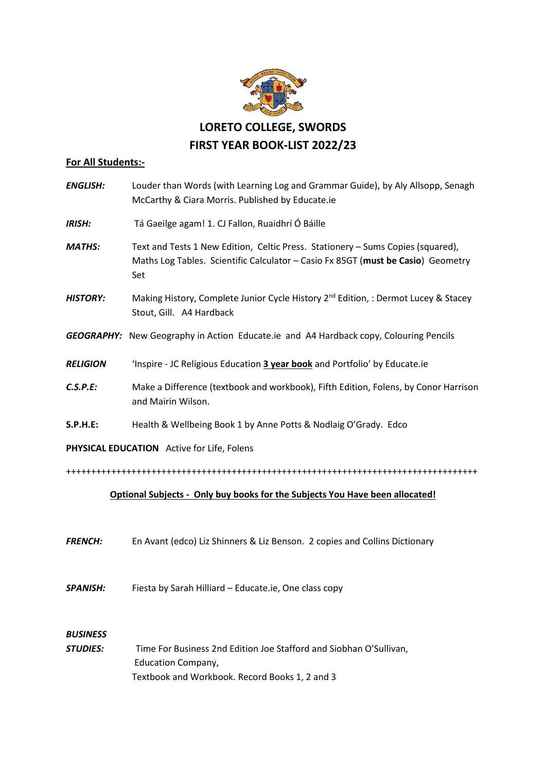

## **For All Students:-**

| <b>ENGLISH:</b>                            | Louder than Words (with Learning Log and Grammar Guide), by Aly Allsopp, Senagh<br>McCarthy & Ciara Morris. Published by Educate.ie                                        |
|--------------------------------------------|----------------------------------------------------------------------------------------------------------------------------------------------------------------------------|
| <b>IRISH:</b>                              | Tá Gaeilge agam! 1. CJ Fallon, Ruaidhrí Ó Báille                                                                                                                           |
| <b>MATHS:</b>                              | Text and Tests 1 New Edition, Celtic Press. Stationery - Sums Copies (squared),<br>Maths Log Tables. Scientific Calculator - Casio Fx 85GT (must be Casio) Geometry<br>Set |
| <b>HISTORY:</b>                            | Making History, Complete Junior Cycle History 2 <sup>nd</sup> Edition, : Dermot Lucey & Stacey<br>Stout, Gill. A4 Hardback                                                 |
|                                            | <b>GEOGRAPHY:</b> New Geography in Action Educate.ie and A4 Hardback copy, Colouring Pencils                                                                               |
| <b>RELIGION</b>                            | 'Inspire - JC Religious Education 3 year book and Portfolio' by Educate.ie                                                                                                 |
| C.S.P.E:                                   | Make a Difference (textbook and workbook), Fifth Edition, Folens, by Conor Harrison<br>and Mairin Wilson.                                                                  |
| <b>S.P.H.E:</b>                            | Health & Wellbeing Book 1 by Anne Potts & Nodlaig O'Grady. Edco                                                                                                            |
| PHYSICAL EDUCATION Active for Life, Folens |                                                                                                                                                                            |
|                                            |                                                                                                                                                                            |

## **Optional Subjects - Only buy books for the Subjects You Have been allocated!**

*FRENCH:* En Avant (edco) Liz Shinners & Liz Benson. 2 copies and Collins Dictionary

*SPANISH:* Fiesta by Sarah Hilliard – Educate.ie, One class copy

## *BUSINESS*

*STUDIES:* Time For Business 2nd Edition Joe Stafford and Siobhan O'Sullivan, Education Company, Textbook and Workbook. Record Books 1, 2 and 3